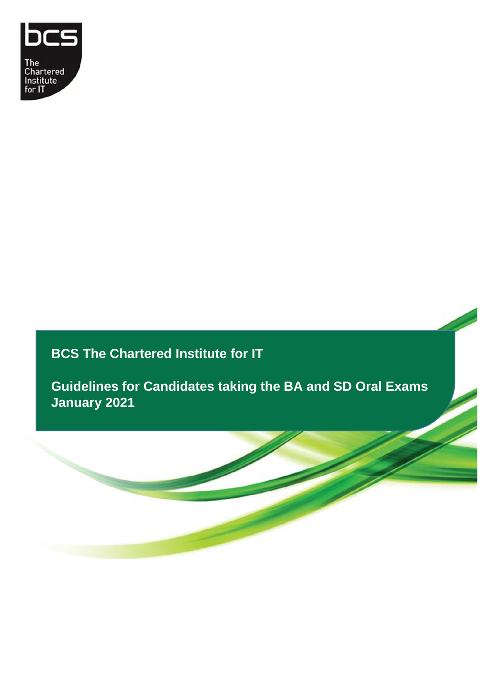

**BCS The Chartered Institute for IT**

**Guidelines for Candidates taking the BA and SD Oral Exams January 2021**

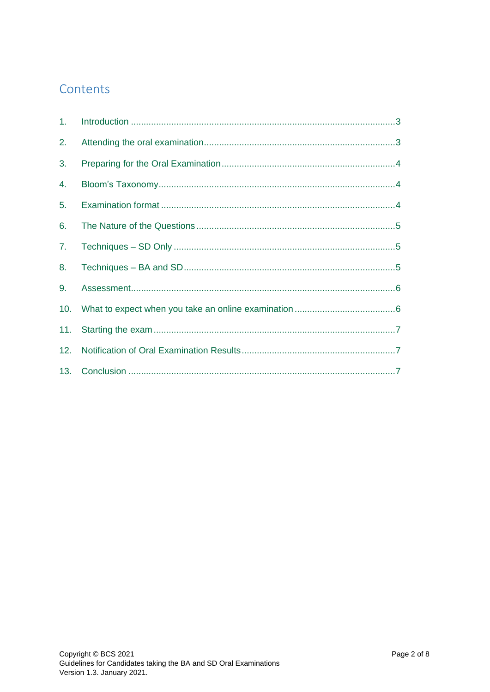## Contents

| 1. |  |
|----|--|
| 2. |  |
| 3. |  |
| 4. |  |
| 5. |  |
| 6. |  |
| 7. |  |
| 8. |  |
| 9. |  |
|    |  |
|    |  |
|    |  |
|    |  |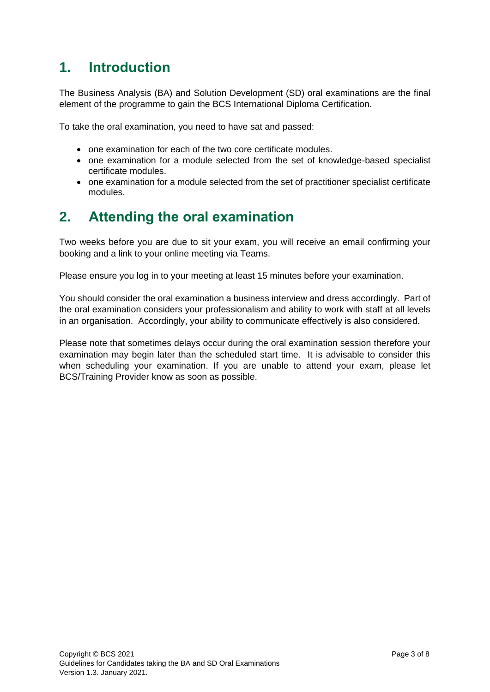## <span id="page-2-0"></span>**1. Introduction**

The Business Analysis (BA) and Solution Development (SD) oral examinations are the final element of the programme to gain the BCS International Diploma Certification.

To take the oral examination, you need to have sat and passed:

- one examination for each of the two core certificate modules.
- one examination for a module selected from the set of knowledge-based specialist certificate modules.
- one examination for a module selected from the set of practitioner specialist certificate modules.

# <span id="page-2-1"></span>**2. Attending the oral examination**

Two weeks before you are due to sit your exam, you will receive an email confirming your booking and a link to your online meeting via Teams.

Please ensure you log in to your meeting at least 15 minutes before your examination.

You should consider the oral examination a business interview and dress accordingly. Part of the oral examination considers your professionalism and ability to work with staff at all levels in an organisation. Accordingly, your ability to communicate effectively is also considered.

Please note that sometimes delays occur during the oral examination session therefore your examination may begin later than the scheduled start time. It is advisable to consider this when scheduling your examination. If you are unable to attend your exam, please let BCS/Training Provider know as soon as possible.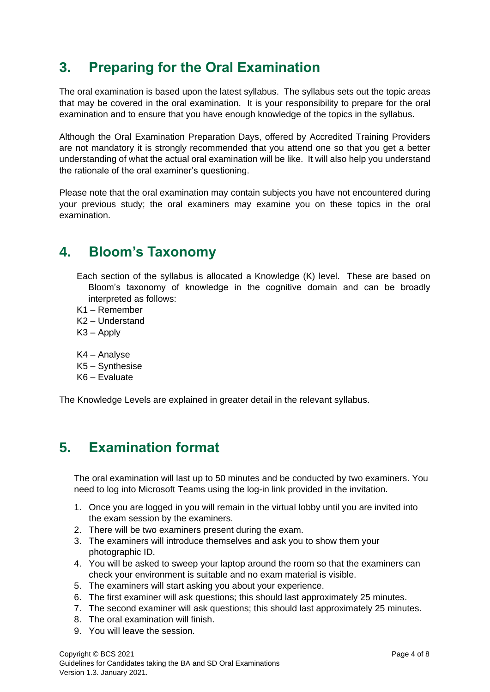# <span id="page-3-0"></span>**3. Preparing for the Oral Examination**

The oral examination is based upon the latest syllabus. The syllabus sets out the topic areas that may be covered in the oral examination. It is your responsibility to prepare for the oral examination and to ensure that you have enough knowledge of the topics in the syllabus.

Although the Oral Examination Preparation Days, offered by Accredited Training Providers are not mandatory it is strongly recommended that you attend one so that you get a better understanding of what the actual oral examination will be like. It will also help you understand the rationale of the oral examiner's questioning.

Please note that the oral examination may contain subjects you have not encountered during your previous study; the oral examiners may examine you on these topics in the oral examination.

## <span id="page-3-1"></span>**4. Bloom's Taxonomy**

- Each section of the syllabus is allocated a Knowledge (K) level. These are based on Bloom's taxonomy of knowledge in the cognitive domain and can be broadly interpreted as follows:
- K1 Remember
- K2 Understand
- K3 Apply
- K4 Analyse
- K5 Synthesise
- K6 Evaluate

The Knowledge Levels are explained in greater detail in the relevant syllabus.

# <span id="page-3-2"></span>**5. Examination format**

The oral examination will last up to 50 minutes and be conducted by two examiners. You need to log into Microsoft Teams using the log-in link provided in the invitation.

- 1. Once you are logged in you will remain in the virtual lobby until you are invited into the exam session by the examiners.
- 2. There will be two examiners present during the exam.
- 3. The examiners will introduce themselves and ask you to show them your photographic ID.
- 4. You will be asked to sweep your laptop around the room so that the examiners can check your environment is suitable and no exam material is visible.
- 5. The examiners will start asking you about your experience.
- 6. The first examiner will ask questions; this should last approximately 25 minutes.
- 7. The second examiner will ask questions; this should last approximately 25 minutes.
- 8. The oral examination will finish.
- 9. You will leave the session.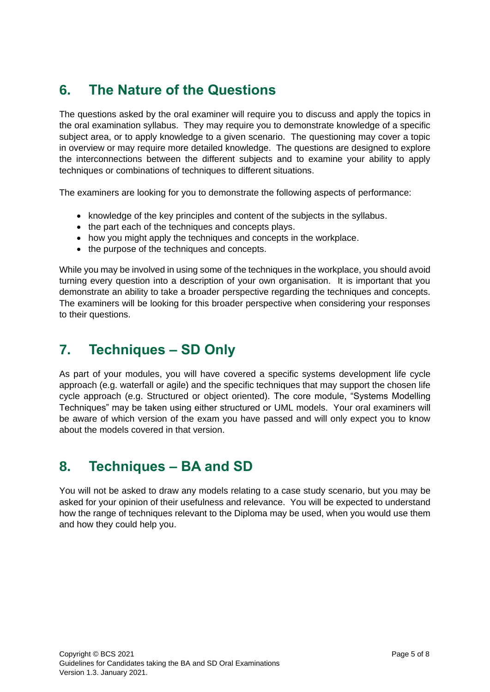# <span id="page-4-0"></span>**6. The Nature of the Questions**

The questions asked by the oral examiner will require you to discuss and apply the topics in the oral examination syllabus. They may require you to demonstrate knowledge of a specific subject area, or to apply knowledge to a given scenario. The questioning may cover a topic in overview or may require more detailed knowledge. The questions are designed to explore the interconnections between the different subjects and to examine your ability to apply techniques or combinations of techniques to different situations.

The examiners are looking for you to demonstrate the following aspects of performance:

- knowledge of the key principles and content of the subjects in the syllabus.
- the part each of the techniques and concepts plays.
- how you might apply the techniques and concepts in the workplace.
- the purpose of the techniques and concepts.

While you may be involved in using some of the techniques in the workplace, you should avoid turning every question into a description of your own organisation. It is important that you demonstrate an ability to take a broader perspective regarding the techniques and concepts. The examiners will be looking for this broader perspective when considering your responses to their questions.

# <span id="page-4-1"></span>**7. Techniques – SD Only**

As part of your modules, you will have covered a specific systems development life cycle approach (e.g. waterfall or agile) and the specific techniques that may support the chosen life cycle approach (e.g. Structured or object oriented). The core module, "Systems Modelling Techniques" may be taken using either structured or UML models. Your oral examiners will be aware of which version of the exam you have passed and will only expect you to know about the models covered in that version.

# <span id="page-4-2"></span>**8. Techniques – BA and SD**

You will not be asked to draw any models relating to a case study scenario, but you may be asked for your opinion of their usefulness and relevance. You will be expected to understand how the range of techniques relevant to the Diploma may be used, when you would use them and how they could help you.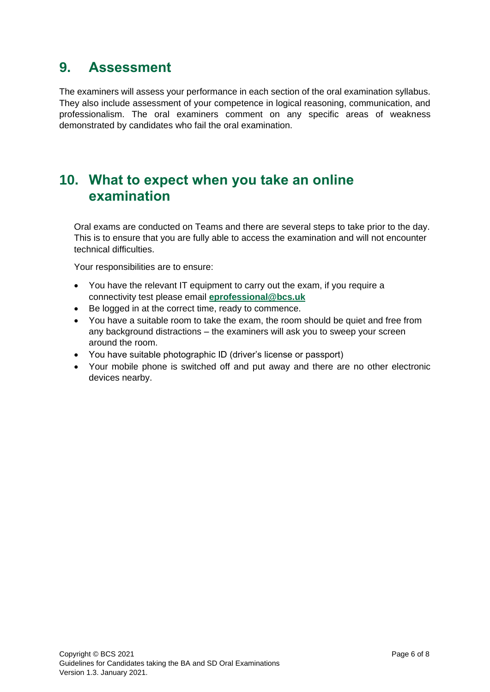#### <span id="page-5-0"></span>**9. Assessment**

The examiners will assess your performance in each section of the oral examination syllabus. They also include assessment of your competence in logical reasoning, communication, and professionalism. The oral examiners comment on any specific areas of weakness demonstrated by candidates who fail the oral examination.

## <span id="page-5-1"></span>**10. What to expect when you take an online examination**

Oral exams are conducted on Teams and there are several steps to take prior to the day. This is to ensure that you are fully able to access the examination and will not encounter technical difficulties.

Your responsibilities are to ensure:

- You have the relevant IT equipment to carry out the exam, if you require a connectivity test please email **[eprofessional@bcs.uk](mailto:eprofessional@bcs.uk)**
- Be logged in at the correct time, ready to commence.
- You have a suitable room to take the exam, the room should be quiet and free from any background distractions – the examiners will ask you to sweep your screen around the room.
- You have suitable photographic ID (driver's license or passport)
- Your mobile phone is switched off and put away and there are no other electronic devices nearby.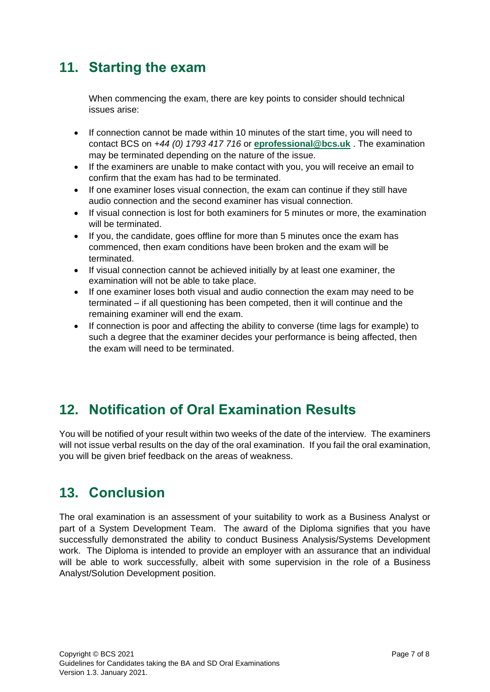## <span id="page-6-0"></span>**11. Starting the exam**

When commencing the exam, there are key points to consider should technical issues arise:

- If connection cannot be made within 10 minutes of the start time, you will need to contact BCS on *+44 (0) 1793 417 716* or **[eprofessional@bcs.uk](mailto:eprofessional@bcs.uk)** . The examination may be terminated depending on the nature of the issue.
- If the examiners are unable to make contact with you, you will receive an email to confirm that the exam has had to be terminated.
- If one examiner loses visual connection, the exam can continue if they still have audio connection and the second examiner has visual connection.
- If visual connection is lost for both examiners for 5 minutes or more, the examination will be terminated.
- If you, the candidate, goes offline for more than 5 minutes once the exam has commenced, then exam conditions have been broken and the exam will be terminated.
- If visual connection cannot be achieved initially by at least one examiner, the examination will not be able to take place.
- If one examiner loses both visual and audio connection the exam may need to be terminated – if all questioning has been competed, then it will continue and the remaining examiner will end the exam.
- If connection is poor and affecting the ability to converse (time lags for example) to such a degree that the examiner decides your performance is being affected, then the exam will need to be terminated.

# <span id="page-6-1"></span>**12. Notification of Oral Examination Results**

You will be notified of your result within two weeks of the date of the interview. The examiners will not issue verbal results on the day of the oral examination. If you fail the oral examination, you will be given brief feedback on the areas of weakness.

# <span id="page-6-2"></span>**13. Conclusion**

The oral examination is an assessment of your suitability to work as a Business Analyst or part of a System Development Team. The award of the Diploma signifies that you have successfully demonstrated the ability to conduct Business Analysis/Systems Development work. The Diploma is intended to provide an employer with an assurance that an individual will be able to work successfully, albeit with some supervision in the role of a Business Analyst/Solution Development position.